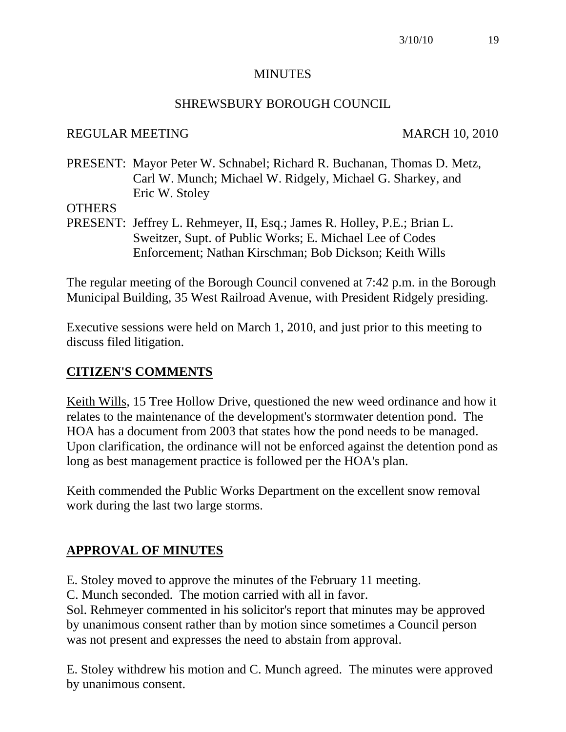## **MINUTES**

## SHREWSBURY BOROUGH COUNCIL

## REGULAR MEETING MARCH 10, 2010

PRESENT: Mayor Peter W. Schnabel; Richard R. Buchanan, Thomas D. Metz, Carl W. Munch; Michael W. Ridgely, Michael G. Sharkey, and Eric W. Stoley

## **OTHERS**

PRESENT: Jeffrey L. Rehmeyer, II, Esq.; James R. Holley, P.E.; Brian L. Sweitzer, Supt. of Public Works; E. Michael Lee of Codes Enforcement; Nathan Kirschman; Bob Dickson; Keith Wills

The regular meeting of the Borough Council convened at 7:42 p.m. in the Borough Municipal Building, 35 West Railroad Avenue, with President Ridgely presiding.

Executive sessions were held on March 1, 2010, and just prior to this meeting to discuss filed litigation.

## **CITIZEN'S COMMENTS**

Keith Wills, 15 Tree Hollow Drive, questioned the new weed ordinance and how it relates to the maintenance of the development's stormwater detention pond. The HOA has a document from 2003 that states how the pond needs to be managed. Upon clarification, the ordinance will not be enforced against the detention pond as long as best management practice is followed per the HOA's plan.

Keith commended the Public Works Department on the excellent snow removal work during the last two large storms.

# **APPROVAL OF MINUTES**

E. Stoley moved to approve the minutes of the February 11 meeting.

C. Munch seconded. The motion carried with all in favor.

Sol. Rehmeyer commented in his solicitor's report that minutes may be approved by unanimous consent rather than by motion since sometimes a Council person was not present and expresses the need to abstain from approval.

E. Stoley withdrew his motion and C. Munch agreed. The minutes were approved by unanimous consent.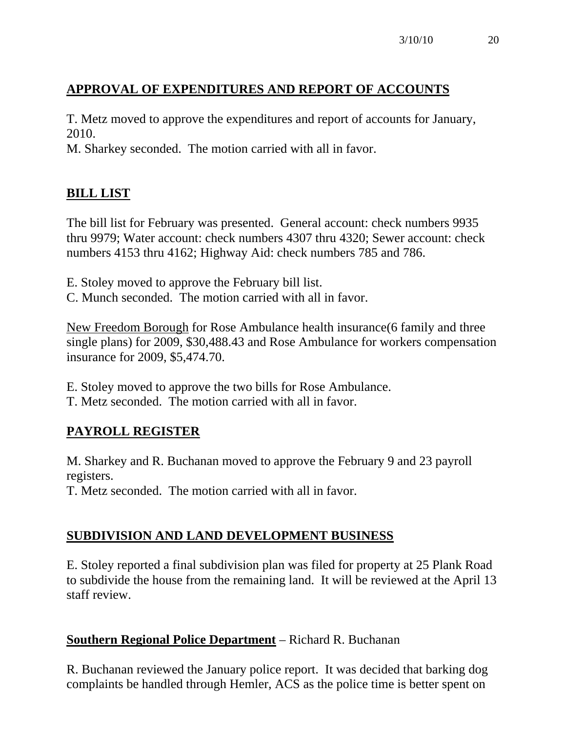# **APPROVAL OF EXPENDITURES AND REPORT OF ACCOUNTS**

T. Metz moved to approve the expenditures and report of accounts for January, 2010.

M. Sharkey seconded. The motion carried with all in favor.

# **BILL LIST**

The bill list for February was presented. General account: check numbers 9935 thru 9979; Water account: check numbers 4307 thru 4320; Sewer account: check numbers 4153 thru 4162; Highway Aid: check numbers 785 and 786.

E. Stoley moved to approve the February bill list.

C. Munch seconded. The motion carried with all in favor.

New Freedom Borough for Rose Ambulance health insurance(6 family and three single plans) for 2009, \$30,488.43 and Rose Ambulance for workers compensation insurance for 2009, \$5,474.70.

E. Stoley moved to approve the two bills for Rose Ambulance.

T. Metz seconded. The motion carried with all in favor.

# **PAYROLL REGISTER**

M. Sharkey and R. Buchanan moved to approve the February 9 and 23 payroll registers.

T. Metz seconded. The motion carried with all in favor.

# **SUBDIVISION AND LAND DEVELOPMENT BUSINESS**

E. Stoley reported a final subdivision plan was filed for property at 25 Plank Road to subdivide the house from the remaining land. It will be reviewed at the April 13 staff review.

# **Southern Regional Police Department** – Richard R. Buchanan

R. Buchanan reviewed the January police report. It was decided that barking dog complaints be handled through Hemler, ACS as the police time is better spent on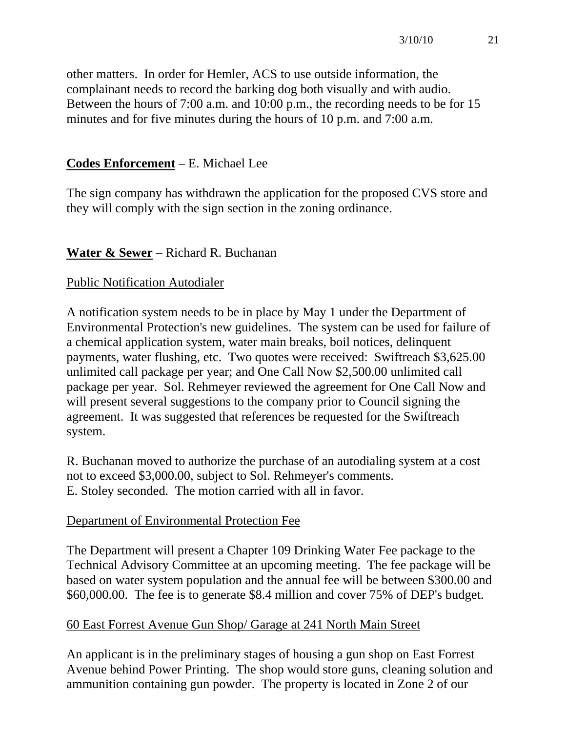other matters. In order for Hemler, ACS to use outside information, the complainant needs to record the barking dog both visually and with audio. Between the hours of 7:00 a.m. and 10:00 p.m., the recording needs to be for 15 minutes and for five minutes during the hours of 10 p.m. and 7:00 a.m.

# **Codes Enforcement** – E. Michael Lee

The sign company has withdrawn the application for the proposed CVS store and they will comply with the sign section in the zoning ordinance.

# **Water & Sewer** – Richard R. Buchanan

# Public Notification Autodialer

A notification system needs to be in place by May 1 under the Department of Environmental Protection's new guidelines. The system can be used for failure of a chemical application system, water main breaks, boil notices, delinquent payments, water flushing, etc. Two quotes were received: Swiftreach \$3,625.00 unlimited call package per year; and One Call Now \$2,500.00 unlimited call package per year. Sol. Rehmeyer reviewed the agreement for One Call Now and will present several suggestions to the company prior to Council signing the agreement. It was suggested that references be requested for the Swiftreach system.

R. Buchanan moved to authorize the purchase of an autodialing system at a cost not to exceed \$3,000.00, subject to Sol. Rehmeyer's comments. E. Stoley seconded. The motion carried with all in favor.

# Department of Environmental Protection Fee

The Department will present a Chapter 109 Drinking Water Fee package to the Technical Advisory Committee at an upcoming meeting. The fee package will be based on water system population and the annual fee will be between \$300.00 and \$60,000.00. The fee is to generate \$8.4 million and cover 75% of DEP's budget.

# 60 East Forrest Avenue Gun Shop/ Garage at 241 North Main Street

An applicant is in the preliminary stages of housing a gun shop on East Forrest Avenue behind Power Printing. The shop would store guns, cleaning solution and ammunition containing gun powder. The property is located in Zone 2 of our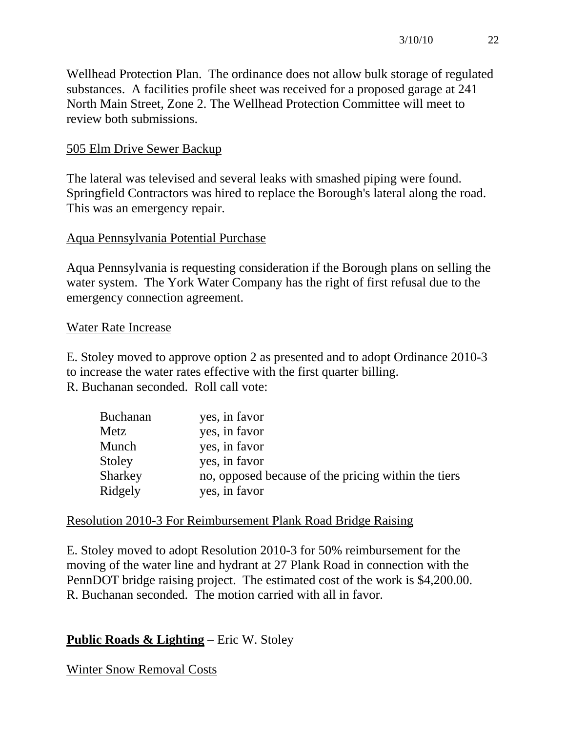Wellhead Protection Plan. The ordinance does not allow bulk storage of regulated substances. A facilities profile sheet was received for a proposed garage at 241 North Main Street, Zone 2. The Wellhead Protection Committee will meet to review both submissions.

# 505 Elm Drive Sewer Backup

The lateral was televised and several leaks with smashed piping were found. Springfield Contractors was hired to replace the Borough's lateral along the road. This was an emergency repair.

# Aqua Pennsylvania Potential Purchase

Aqua Pennsylvania is requesting consideration if the Borough plans on selling the water system. The York Water Company has the right of first refusal due to the emergency connection agreement.

## Water Rate Increase

E. Stoley moved to approve option 2 as presented and to adopt Ordinance 2010-3 to increase the water rates effective with the first quarter billing.

R. Buchanan seconded. Roll call vote:

| <b>Buchanan</b> | yes, in favor                                       |
|-----------------|-----------------------------------------------------|
| Metz            | yes, in favor                                       |
| Munch           | yes, in favor                                       |
| Stoley          | yes, in favor                                       |
| Sharkey         | no, opposed because of the pricing within the tiers |
| Ridgely         | yes, in favor                                       |

## Resolution 2010-3 For Reimbursement Plank Road Bridge Raising

E. Stoley moved to adopt Resolution 2010-3 for 50% reimbursement for the moving of the water line and hydrant at 27 Plank Road in connection with the PennDOT bridge raising project. The estimated cost of the work is \$4,200.00. R. Buchanan seconded. The motion carried with all in favor.

# **Public Roads & Lighting** – Eric W. Stoley

Winter Snow Removal Costs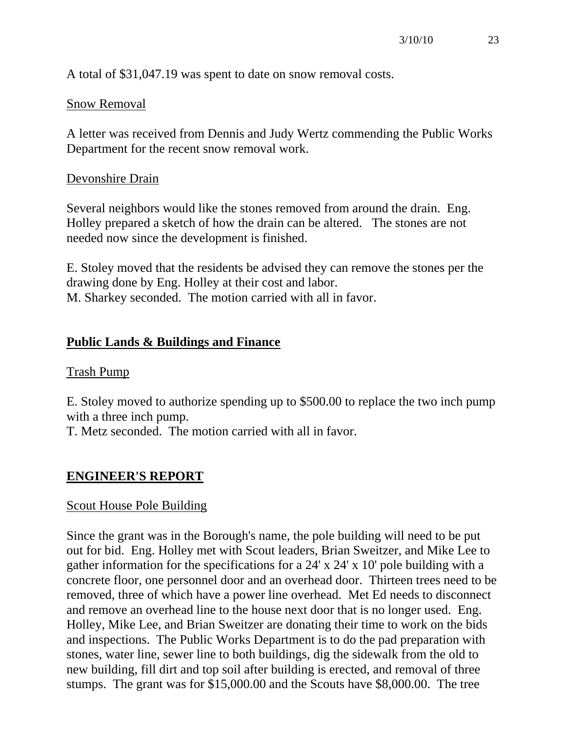A total of \$31,047.19 was spent to date on snow removal costs.

#### Snow Removal

A letter was received from Dennis and Judy Wertz commending the Public Works Department for the recent snow removal work.

#### Devonshire Drain

Several neighbors would like the stones removed from around the drain. Eng. Holley prepared a sketch of how the drain can be altered. The stones are not needed now since the development is finished.

E. Stoley moved that the residents be advised they can remove the stones per the drawing done by Eng. Holley at their cost and labor. M. Sharkey seconded. The motion carried with all in favor.

#### **Public Lands & Buildings and Finance**

#### Trash Pump

E. Stoley moved to authorize spending up to \$500.00 to replace the two inch pump with a three inch pump.

T. Metz seconded. The motion carried with all in favor.

#### **ENGINEER'S REPORT**

#### Scout House Pole Building

Since the grant was in the Borough's name, the pole building will need to be put out for bid. Eng. Holley met with Scout leaders, Brian Sweitzer, and Mike Lee to gather information for the specifications for a 24' x 24' x 10' pole building with a concrete floor, one personnel door and an overhead door. Thirteen trees need to be removed, three of which have a power line overhead. Met Ed needs to disconnect and remove an overhead line to the house next door that is no longer used. Eng. Holley, Mike Lee, and Brian Sweitzer are donating their time to work on the bids and inspections. The Public Works Department is to do the pad preparation with stones, water line, sewer line to both buildings, dig the sidewalk from the old to new building, fill dirt and top soil after building is erected, and removal of three stumps. The grant was for \$15,000.00 and the Scouts have \$8,000.00. The tree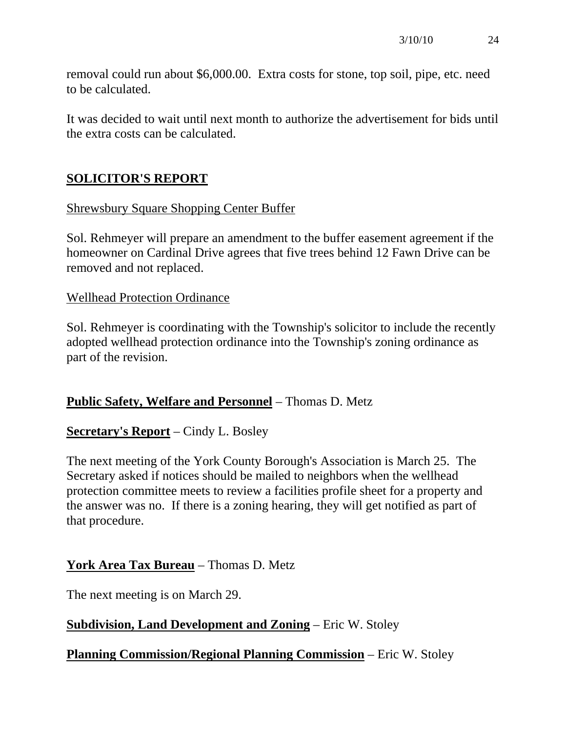removal could run about \$6,000.00. Extra costs for stone, top soil, pipe, etc. need to be calculated.

It was decided to wait until next month to authorize the advertisement for bids until the extra costs can be calculated.

# **SOLICITOR'S REPORT**

# Shrewsbury Square Shopping Center Buffer

Sol. Rehmeyer will prepare an amendment to the buffer easement agreement if the homeowner on Cardinal Drive agrees that five trees behind 12 Fawn Drive can be removed and not replaced.

## Wellhead Protection Ordinance

Sol. Rehmeyer is coordinating with the Township's solicitor to include the recently adopted wellhead protection ordinance into the Township's zoning ordinance as part of the revision.

## **Public Safety, Welfare and Personnel** – Thomas D. Metz

## **Secretary's Report** – Cindy L. Bosley

The next meeting of the York County Borough's Association is March 25. The Secretary asked if notices should be mailed to neighbors when the wellhead protection committee meets to review a facilities profile sheet for a property and the answer was no. If there is a zoning hearing, they will get notified as part of that procedure.

## **York Area Tax Bureau** – Thomas D. Metz

The next meeting is on March 29.

## **Subdivision, Land Development and Zoning** – Eric W. Stoley

## **Planning Commission/Regional Planning Commission** – Eric W. Stoley